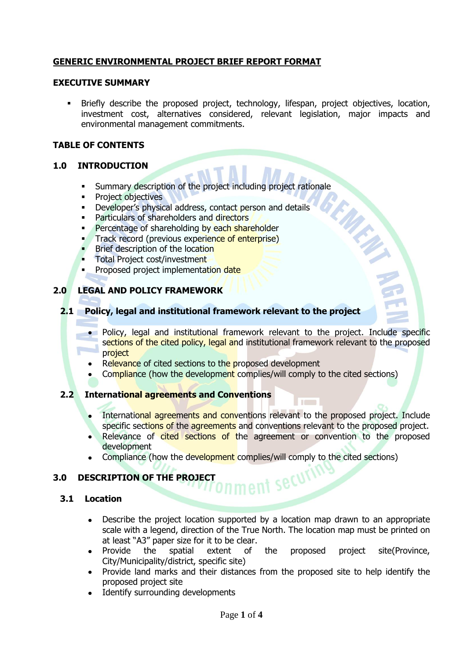# **GENERIC ENVIRONMENTAL PROJECT BRIEF REPORT FORMAT**

#### **EXECUTIVE SUMMARY**

 Briefly describe the proposed project, technology, lifespan, project objectives, location, investment cost, alternatives considered, relevant legislation, major impacts and environmental management commitments.

#### **TABLE OF CONTENTS**

#### **1.0 INTRODUCTION**

- Summary description of the project including project rationale
- **•** Project objectives
- Developer's physical address, contact person and details
- Particulars of shareholders and directors
- Percentage of shareholding by each shareholder
- Track record (previous experience of enterprise)
- Brief description of the location
- Total Project cost/investment
- Proposed project implementation date

### **2.0 LEGAL AND POLICY FRAMEWORK**

#### **2.1 Policy, legal and institutional framework relevant to the project**

- Policy, legal and institutional framework relevant to the project. Include specific sections of the cited policy, legal and institutional framework relevant to the proposed project
- Relevance of cited sections to the proposed development
- Compliance (how the development complies/will comply to the cited sections)

### **2.2 International agreements and Conventions**

- International agreements and conventions relevant to the proposed project. Include specific sections of the agreements and conventions relevant to the proposed project.
- Relevance of cited sections of the agreement or convention to the proposed development
- Compliance (how the development complies/will comply to the cited sections)

# **3.0 DESCRIPTION OF THE PROJECT**

### **3.1 Location**

Describe the project location supported by a location map drawn to an appropriate  $\bullet$ scale with a legend, direction of the True North. The location map must be printed on at least "A3" paper size for it to be clear.

nent secur

- Provide the spatial extent of the proposed project site(Province, City/Municipality/district, specific site)
- Provide land marks and their distances from the proposed site to help identify the proposed project site
- Identify surrounding developments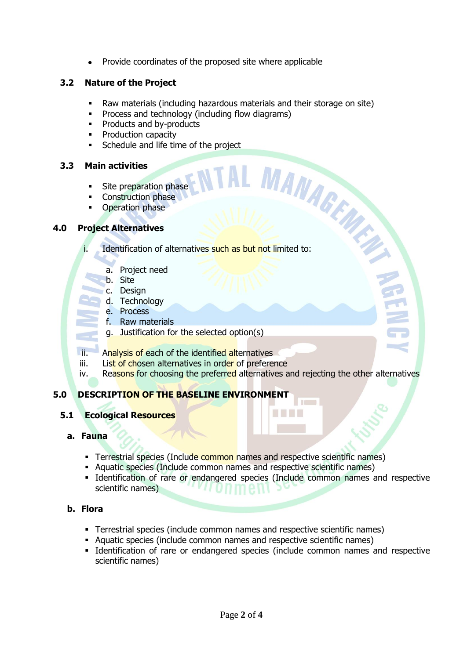Provide coordinates of the proposed site where applicable

# **3.2 Nature of the Project**

- Raw materials (including hazardous materials and their storage on site)
- Process and technology (including flow diagrams)
- Products and by-products
- Production capacity
- Schedule and life time of the project

### **3.3 Main activities**

- Site preparation phase
- Construction phase
- Operation phase

### **4.0 Project Alternatives**

**i.** Scheaux<br> **Main activities**<br> **Construction phase**<br> **Construction phase**<br> **Project Alternatives**<br> **I.** Identification of alternatives such as but not limited to:

- a. Project need
- b. Site
- c. Design
- d. Technology
- e. Process
- f. Raw materials
- g. Justification for the selected option(s)

ii. Analysis of each of the identified alternatives

- iii. List of chosen alternatives in order of preference
- iv. Reasons for choosing the preferred alternatives and rejecting the other alternatives

# **5.0 DESCRIPTION OF THE BASELINE ENVIRONMENT**

# **5.1 Ecological Resources**

# **a. Fauna**

- **Terrestrial species (Include common names and respective scientific names)**
- Aquatic species (Include common names and respective scientific names)
- Identification of rare or endangered species (Include common names and respective scientific names)

### **b. Flora**

- Terrestrial species (include common names and respective scientific names)
- Aquatic species (include common names and respective scientific names)
- Identification of rare or endangered species (include common names and respective scientific names)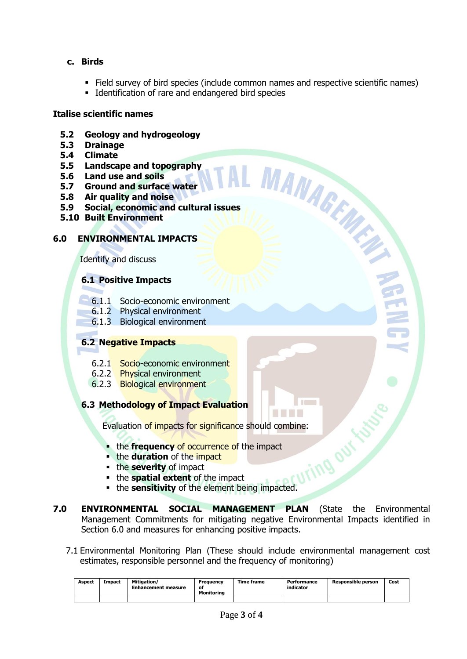- **c. Birds** 
	- Field survey of bird species (include common names and respective scientific names)
	- **Identification of rare and endangered bird species**

### **Italise scientific names**

- **5.2 Geology and hydrogeology**
- **5.3 Drainage**
- **5.4 Climate**
- **5.5 Landscape and topography**
- **5.6 Land use and soils**
- **5.7 Ground and surface water**
- **5.8 Air quality and noise**
- 5.3 Drainage<br>
5.4 Climate<br>
5.5 Landscape and topography<br>
5.5 Carol use and soils<br>
5.7 Ground and surface water<br>
5.8 Air quality and noise<br>
5.9 Social, economic and cultural issues<br>
<sup>4</sup> uilt Environment<br>
<sup>4</sup> Ali Environment
- **5.10 Built Environment**

### **6.0 ENVIRONMENTAL IMPACTS**

Identify and discuss

### **6.1 Positive Impacts**

- 6.1.1 Socio-economic environment
- 6.1.2 Physical environment
- 6.1.3 Biological environment

### **6.2 Negative Impacts**

- 6.2.1 Socio-economic environment
- 6.2.2 Physical environment
- 6.2.3 Biological environment

### **6.3 Methodology of Impact Evaluation**

Evaluation of impacts for significance should combine:<br>
• the frequency of occurrence of the impact<br>
• the severity of impact<br>
• the severity of impact<br>
• the sensities

- **the frequency of occurrence of the impact**
- **the duration** of the impact
- **the severity** of impact
- the **spatial extent** of the impact
- **the sensitivity** of the element being impacted.
- **7.0 ENVIRONMENTAL SOCIAL MANAGEMENT PLAN** (State the Environmental Management Commitments for mitigating negative Environmental Impacts identified in Section 6.0 and measures for enhancing positive impacts.
	- 7.1 Environmental Monitoring Plan (These should include environmental management cost estimates, responsible personnel and the frequency of monitoring)

| <b>Aspect</b> | Impact | Mitigation/<br><b>Enhancement measure</b> | Frequency<br>οt<br>Monitorina | Time frame | Performance<br>indicator | <b>Responsible person</b> | Cost |
|---------------|--------|-------------------------------------------|-------------------------------|------------|--------------------------|---------------------------|------|
|               |        |                                           |                               |            |                          |                           |      |